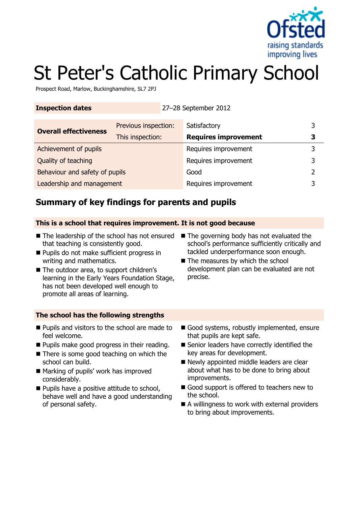

# St Peter's Catholic Primary School

Prospect Road, Marlow, Buckinghamshire, SL7 2PJ

| <b>Inspection dates</b> | 27-28 September 2012 |
|-------------------------|----------------------|
|                         |                      |

| <b>Overall effectiveness</b>   | Previous inspection: | Satisfactory                |  |
|--------------------------------|----------------------|-----------------------------|--|
|                                | This inspection:     | <b>Requires improvement</b> |  |
| Achievement of pupils          |                      | Requires improvement        |  |
| Quality of teaching            |                      | Requires improvement        |  |
| Behaviour and safety of pupils |                      | Good                        |  |
| Leadership and management      |                      | Requires improvement        |  |

# **Summary of key findings for parents and pupils**

#### **This is a school that requires improvement. It is not good because**

- The leadership of the school has not ensured The governing body has not evaluated the that teaching is consistently good.
- **Pupils do not make sufficient progress in** writing and mathematics.
- The outdoor area, to support children's learning in the Early Years Foundation Stage, has not been developed well enough to promote all areas of learning.
- school's performance sufficiently critically and tackled underperformance soon enough.
- The measures by which the school development plan can be evaluated are not precise.

#### **The school has the following strengths**

- **Pupils and visitors to the school are made to** feel welcome.
- **Pupils make good progress in their reading.**
- There is some good teaching on which the school can build.
- Marking of pupils' work has improved considerably.
- **Pupils have a positive attitude to school,** behave well and have a good understanding of personal safety.
- Good systems, robustly implemented, ensure that pupils are kept safe.
- Senior leaders have correctly identified the key areas for development.
- Newly appointed middle leaders are clear about what has to be done to bring about improvements.
- Good support is offered to teachers new to the school.
- A willingness to work with external providers to bring about improvements.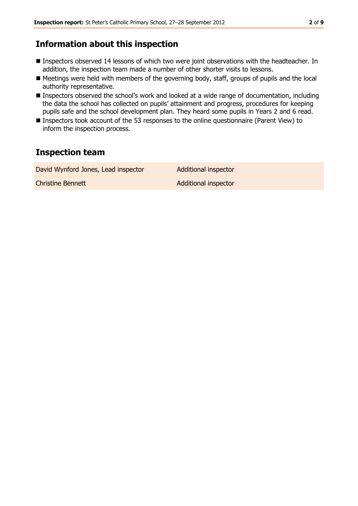## **Information about this inspection**

- **Inspectors observed 14 lessons of which two were joint observations with the headteacher. In** addition, the inspection team made a number of other shorter visits to lessons.
- Meetings were held with members of the governing body, staff, groups of pupils and the local authority representative.
- Inspectors observed the school's work and looked at a wide range of documentation, including the data the school has collected on pupils' attainment and progress, procedures for keeping pupils safe and the school development plan. They heard some pupils in Years 2 and 6 read.
- Inspectors took account of the 53 responses to the online questionnaire (Parent View) to inform the inspection process.

# **Inspection team**

| David Wynford Jones, Lead inspector | Additional inspector        |
|-------------------------------------|-----------------------------|
| <b>Christine Bennett</b>            | <b>Additional inspector</b> |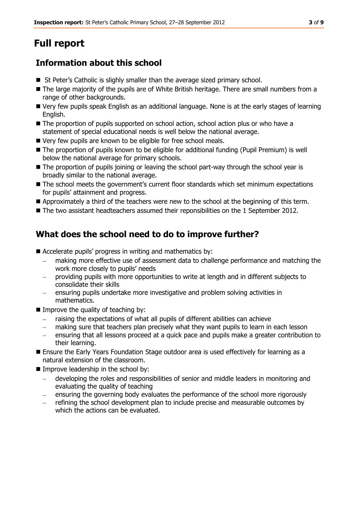# **Full report**

# **Information about this school**

- St Peter's Catholic is slighly smaller than the average sized primary school.
- The large majority of the pupils are of White British heritage. There are small numbers from a range of other backgrounds.
- Very few pupils speak English as an additional language. None is at the early stages of learning English.
- The proportion of pupils supported on school action, school action plus or who have a statement of special educational needs is well below the national average.
- Very few pupils are known to be eligible for free school meals.
- The proportion of pupils known to be eligible for additional funding (Pupil Premium) is well below the national average for primary schools.
- The proportion of pupils joining or leaving the school part-way through the school year is broadly similar to the national average.
- The school meets the government's current floor standards which set minimum expectations for pupils' attainment and progress.
- Approximately a third of the teachers were new to the school at the beginning of this term.
- The two assistant headteachers assumed their reponsibilities on the 1 September 2012.

# **What does the school need to do to improve further?**

- Accelerate pupils' progress in writing and mathematics by:
	- making more effective use of assessment data to challenge performance and matching the work more closely to pupils' needs
	- providing pupils with more opportunities to write at length and in different subjects to consolidate their skills
	- ensuring pupils undertake more investigative and problem solving activities in mathematics.
- $\blacksquare$  Improve the quality of teaching by:
	- raising the expectations of what all pupils of different abilities can achieve
	- making sure that teachers plan precisely what they want pupils to learn in each lesson
	- ensuring that all lessons proceed at a quick pace and pupils make a greater contribution to their learning.
- **Ensure the Early Years Foundation Stage outdoor area is used effectively for learning as a** natural extension of the classroom.
- $\blacksquare$  Improve leadership in the school by:
	- developing the roles and responsibilities of senior and middle leaders in monitoring and evaluating the quality of teaching
	- ensuring the governing body evaluates the performance of the school more rigorously
	- refining the school development plan to include precise and measurable outcomes by which the actions can be evaluated.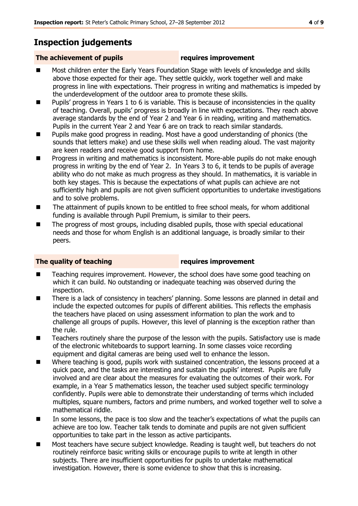# **Inspection judgements**

### **The achievement of pupils requires improvement**

- Most children enter the Early Years Foundation Stage with levels of knowledge and skills above those expected for their age. They settle quickly, work together well and make progress in line with expectations. Their progress in writing and mathematics is impeded by the underdevelopment of the outdoor area to promote these skills.
- Pupils' progress in Years 1 to 6 is variable. This is because of inconsistencies in the quality of teaching. Overall, pupils' progress is broadly in line with expectations. They reach above average standards by the end of Year 2 and Year 6 in reading, writing and mathematics. Pupils in the current Year 2 and Year 6 are on track to reach similar standards.
- **Pupils make good progress in reading. Most have a good understanding of phonics (the** sounds that letters make) and use these skills well when reading aloud. The vast majority are keen readers and receive good support from home.
- Progress in writing and mathematics is inconsistent. More-able pupils do not make enough progress in writing by the end of Year 2. In Years 3 to 6, it tends to be pupils of average ability who do not make as much progress as they should. In mathematics, it is variable in both key stages. This is because the expectations of what pupils can achieve are not sufficiently high and pupils are not given sufficient opportunities to undertake investigations and to solve problems.
- The attainment of pupils known to be entitled to free school meals, for whom additional funding is available through Pupil Premium, is similar to their peers.
- The progress of most groups, including disabled pupils, those with special educational needs and those for whom English is an additional language, is broadly similar to their peers.

### **The quality of teaching requires improvement**

- Teaching requires improvement. However, the school does have some good teaching on which it can build. No outstanding or inadequate teaching was observed during the inspection.
- There is a lack of consistency in teachers' planning. Some lessons are planned in detail and include the expected outcomes for pupils of different abilities. This reflects the emphasis the teachers have placed on using assessment information to plan the work and to challenge all groups of pupils. However, this level of planning is the exception rather than the rule.
- Teachers routinely share the purpose of the lesson with the pupils. Satisfactory use is made of the electronic whiteboards to support learning. In some classes voice recording equipment and digital cameras are being used well to enhance the lesson.
- Where teaching is good, pupils work with sustained concentration, the lessons proceed at a quick pace, and the tasks are interesting and sustain the pupils' interest. Pupils are fully involved and are clear about the measures for evaluating the outcomes of their work. For example, in a Year 5 mathematics lesson, the teacher used subject specific terminology confidently. Pupils were able to demonstrate their understanding of terms which included multiples, square numbers, factors and prime numbers, and worked together well to solve a mathematical riddle.
- In some lessons, the pace is too slow and the teacher's expectations of what the pupils can achieve are too low. Teacher talk tends to dominate and pupils are not given sufficient opportunities to take part in the lesson as active participants.
- Most teachers have secure subject knowledge. Reading is taught well, but teachers do not routinely reinforce basic writing skills or encourage pupils to write at length in other subjects. There are insufficient opportunities for pupils to undertake mathematical investigation. However, there is some evidence to show that this is increasing.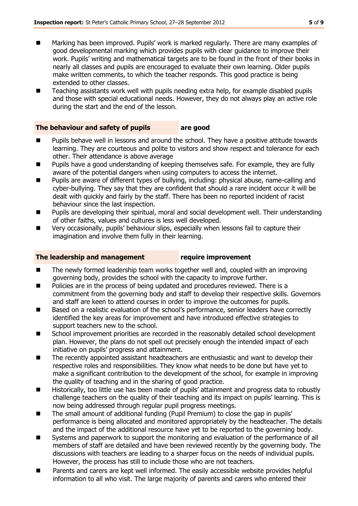- Marking has been improved. Pupils' work is marked regularly. There are many examples of good developmental marking which provides pupils with clear guidance to improve their work. Pupils' writing and mathematical targets are to be found in the front of their books in nearly all classes and pupils are encouraged to evaluate their own learning. Older pupils make written comments, to which the teacher responds. This good practice is being extended to other classes.
- Teaching assistants work well with pupils needing extra help, for example disabled pupils and those with special educational needs. However, they do not always play an active role during the start and the end of the lesson.

### **The behaviour and safety of pupils are good**

- **Pupils behave well in lessons and around the school. They have a positive attitude towards** learning. They are courteous and polite to visitors and show respect and tolerance for each other. Their attendance is above average
- **Pupils have a good understanding of keeping themselves safe. For example, they are fully** aware of the potential dangers when using computers to access the internet.
- Pupils are aware of different types of bullying, including: physical abuse, name-calling and cyber-bullying. They say that they are confident that should a rare incident occur it will be dealt with quickly and fairly by the staff. There has been no reported incident of racist behaviour since the last inspection.
- **Pupils are developing their spiritual, moral and social development well. Their understanding** of other faiths, values and cultures is less well developed.
- Very occasionally, pupils' behaviour slips, especially when lessons fail to capture their imagination and involve them fully in their learning.

#### **The leadership and management require improvement**

- The newly formed leadership team works together well and, coupled with an improving governing body, provides the school with the capacity to improve further.
- Policies are in the process of being updated and procedures reviewed. There is a commitment from the governing body and staff to develop their respective skills. Governors and staff are keen to attend courses in order to improve the outcomes for pupils.
- Based on a realistic evaluation of the school's performance, senior leaders have correctly identified the key areas for improvement and have introduced effective strategies to support teachers new to the school.
- School improvement priorities are recorded in the reasonably detailed school development plan. However, the plans do not spell out precisely enough the intended impact of each initiative on pupils' progress and attainment.
- The recently appointed assistant headteachers are enthusiastic and want to develop their respective roles and responsibilities. They know what needs to be done but have yet to make a significant contribution to the development of the school, for example in improving the quality of teaching and in the sharing of good practice.
- Historically, too little use has been made of pupils' attainment and progress data to robustly challenge teachers on the quality of their teaching and its impact on pupils' learning. This is now being addressed through regular pupil progress meetings.
- The small amount of additional funding (Pupil Premium) to close the gap in pupils' performance is being allocated and monitored appropriately by the headteacher. The details and the impact of the additional resource have yet to be reported to the governing body.
- Systems and paperwork to support the monitoring and evaluation of the performance of all members of staff are detailed and have been reviewed recently by the governing body. The discussions with teachers are leading to a sharper focus on the needs of individual pupils. However, the process has still to include those who are not teachers.
- Parents and carers are kept well informed. The easily accessible website provides helpful information to all who visit. The large majority of parents and carers who entered their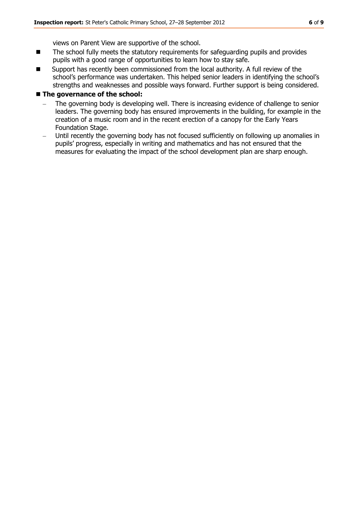views on Parent View are supportive of the school.

- The school fully meets the statutory requirements for safeguarding pupils and provides pupils with a good range of opportunities to learn how to stay safe.
- Support has recently been commissioned from the local authority. A full review of the school's performance was undertaken. This helped senior leaders in identifying the school's strengths and weaknesses and possible ways forward. Further support is being considered.

#### **The governance of the school:**

- The governing body is developing well. There is increasing evidence of challenge to senior leaders. The governing body has ensured improvements in the building, for example in the creation of a music room and in the recent erection of a canopy for the Early Years Foundation Stage.
- Until recently the governing body has not focused sufficiently on following up anomalies in pupils' progress, especially in writing and mathematics and has not ensured that the measures for evaluating the impact of the school development plan are sharp enough.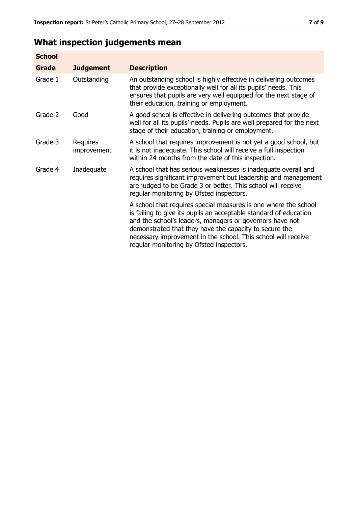# **What inspection judgements mean**

| <b>School</b> |                         |                                                                                                                                                                                                                                                                                                                                                                         |
|---------------|-------------------------|-------------------------------------------------------------------------------------------------------------------------------------------------------------------------------------------------------------------------------------------------------------------------------------------------------------------------------------------------------------------------|
| Grade         | <b>Judgement</b>        | <b>Description</b>                                                                                                                                                                                                                                                                                                                                                      |
| Grade 1       | Outstanding             | An outstanding school is highly effective in delivering outcomes<br>that provide exceptionally well for all its pupils' needs. This<br>ensures that pupils are very well equipped for the next stage of<br>their education, training or employment.                                                                                                                     |
| Grade 2       | Good                    | A good school is effective in delivering outcomes that provide<br>well for all its pupils' needs. Pupils are well prepared for the next<br>stage of their education, training or employment.                                                                                                                                                                            |
| Grade 3       | Requires<br>improvement | A school that requires improvement is not yet a good school, but<br>it is not inadequate. This school will receive a full inspection<br>within 24 months from the date of this inspection.                                                                                                                                                                              |
| Grade 4       | Inadequate              | A school that has serious weaknesses is inadequate overall and<br>requires significant improvement but leadership and management<br>are judged to be Grade 3 or better. This school will receive<br>regular monitoring by Ofsted inspectors.                                                                                                                            |
|               |                         | A school that requires special measures is one where the school<br>is failing to give its pupils an acceptable standard of education<br>and the school's leaders, managers or governors have not<br>demonstrated that they have the capacity to secure the<br>necessary improvement in the school. This school will receive<br>regular monitoring by Ofsted inspectors. |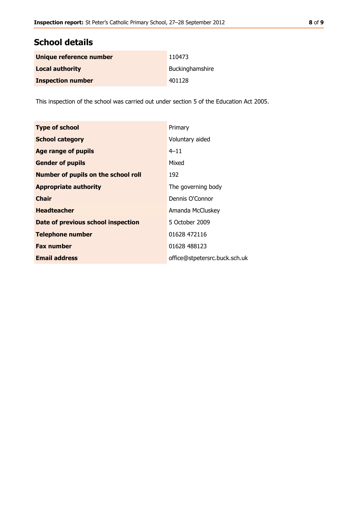# **School details**

| Unique reference number  | 110473          |
|--------------------------|-----------------|
| <b>Local authority</b>   | Buckinghamshire |
| <b>Inspection number</b> | 401128          |

This inspection of the school was carried out under section 5 of the Education Act 2005.

| <b>Type of school</b>                      | Primary                       |
|--------------------------------------------|-------------------------------|
| <b>School category</b>                     | Voluntary aided               |
| <b>Age range of pupils</b>                 | $4 - 11$                      |
| <b>Gender of pupils</b>                    | Mixed                         |
| <b>Number of pupils on the school roll</b> | 192                           |
| <b>Appropriate authority</b>               | The governing body            |
| <b>Chair</b>                               | Dennis O'Connor               |
| <b>Headteacher</b>                         | Amanda McCluskey              |
| Date of previous school inspection         | 5 October 2009                |
| <b>Telephone number</b>                    | 01628 472116                  |
| <b>Fax number</b>                          | 01628 488123                  |
| <b>Email address</b>                       | office@stpetersrc.buck.sch.uk |